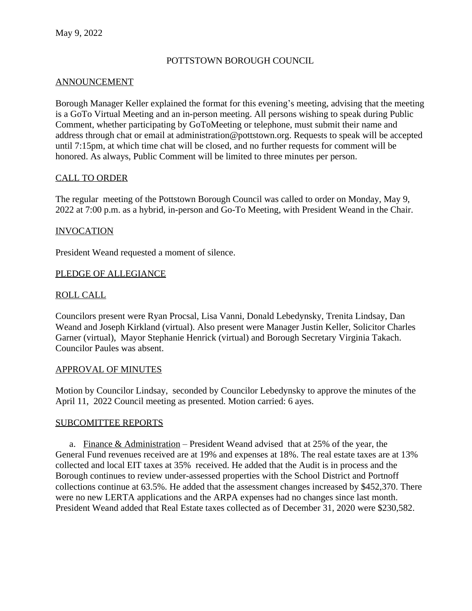#### POTTSTOWN BOROUGH COUNCIL

#### ANNOUNCEMENT

Borough Manager Keller explained the format for this evening's meeting, advising that the meeting is a GoTo Virtual Meeting and an in-person meeting. All persons wishing to speak during Public Comment, whether participating by GoToMeeting or telephone, must submit their name and address through chat or email at administration@pottstown.org. Requests to speak will be accepted until 7:15pm, at which time chat will be closed, and no further requests for comment will be honored. As always, Public Comment will be limited to three minutes per person.

#### CALL TO ORDER

The regular meeting of the Pottstown Borough Council was called to order on Monday, May 9, 2022 at 7:00 p.m. as a hybrid, in-person and Go-To Meeting, with President Weand in the Chair.

#### INVOCATION

President Weand requested a moment of silence.

#### PLEDGE OF ALLEGIANCE

#### ROLL CALL

Councilors present were Ryan Procsal, Lisa Vanni, Donald Lebedynsky, Trenita Lindsay, Dan Weand and Joseph Kirkland (virtual). Also present were Manager Justin Keller, Solicitor Charles Garner (virtual), Mayor Stephanie Henrick (virtual) and Borough Secretary Virginia Takach. Councilor Paules was absent.

#### APPROVAL OF MINUTES

Motion by Councilor Lindsay, seconded by Councilor Lebedynsky to approve the minutes of the April 11, 2022 Council meeting as presented. Motion carried: 6 ayes.

#### SUBCOMITTEE REPORTS

a. Finance  $&$  Administration – President Weand advised that at 25% of the year, the General Fund revenues received are at 19% and expenses at 18%. The real estate taxes are at 13% collected and local EIT taxes at 35% received. He added that the Audit is in process and the Borough continues to review under-assessed properties with the School District and Portnoff collections continue at 63.5%. He added that the assessment changes increased by \$452,370. There were no new LERTA applications and the ARPA expenses had no changes since last month. President Weand added that Real Estate taxes collected as of December 31, 2020 were \$230,582.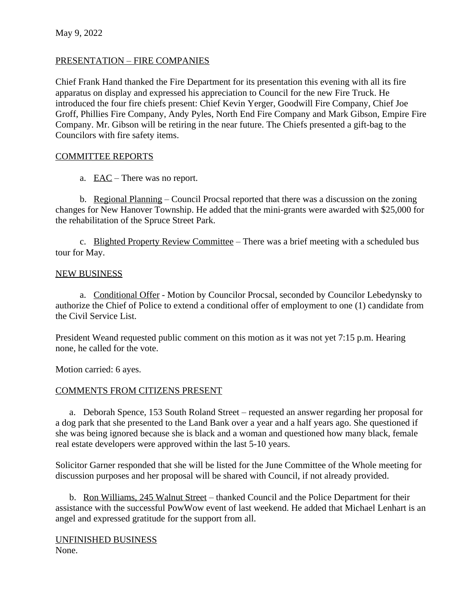### PRESENTATION – FIRE COMPANIES

Chief Frank Hand thanked the Fire Department for its presentation this evening with all its fire apparatus on display and expressed his appreciation to Council for the new Fire Truck. He introduced the four fire chiefs present: Chief Kevin Yerger, Goodwill Fire Company, Chief Joe Groff, Phillies Fire Company, Andy Pyles, North End Fire Company and Mark Gibson, Empire Fire Company. Mr. Gibson will be retiring in the near future. The Chiefs presented a gift-bag to the Councilors with fire safety items.

### COMMITTEE REPORTS

a. EAC – There was no report.

b. Regional Planning – Council Procsal reported that there was a discussion on the zoning changes for New Hanover Township. He added that the mini-grants were awarded with \$25,000 for the rehabilitation of the Spruce Street Park.

c. Blighted Property Review Committee – There was a brief meeting with a scheduled bus tour for May.

#### NEW BUSINESS

a. Conditional Offer - Motion by Councilor Procsal, seconded by Councilor Lebedynsky to authorize the Chief of Police to extend a conditional offer of employment to one (1) candidate from the Civil Service List.

President Weand requested public comment on this motion as it was not yet 7:15 p.m. Hearing none, he called for the vote.

Motion carried: 6 ayes.

## COMMENTS FROM CITIZENS PRESENT

a. Deborah Spence, 153 South Roland Street – requested an answer regarding her proposal for a dog park that she presented to the Land Bank over a year and a half years ago. She questioned if she was being ignored because she is black and a woman and questioned how many black, female real estate developers were approved within the last 5-10 years.

Solicitor Garner responded that she will be listed for the June Committee of the Whole meeting for discussion purposes and her proposal will be shared with Council, if not already provided.

b. Ron Williams, 245 Walnut Street – thanked Council and the Police Department for their assistance with the successful PowWow event of last weekend. He added that Michael Lenhart is an angel and expressed gratitude for the support from all.

UNFINISHED BUSINESS None.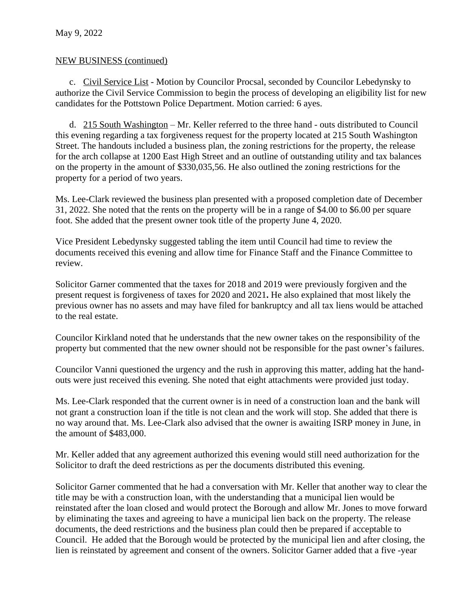#### NEW BUSINESS (continued)

c. Civil Service List - Motion by Councilor Procsal, seconded by Councilor Lebedynsky to authorize the Civil Service Commission to begin the process of developing an eligibility list for new candidates for the Pottstown Police Department. Motion carried: 6 ayes.

d. 215 South Washington – Mr. Keller referred to the three hand - outs distributed to Council this evening regarding a tax forgiveness request for the property located at 215 South Washington Street. The handouts included a business plan, the zoning restrictions for the property, the release for the arch collapse at 1200 East High Street and an outline of outstanding utility and tax balances on the property in the amount of \$330,035,56. He also outlined the zoning restrictions for the property for a period of two years.

Ms. Lee-Clark reviewed the business plan presented with a proposed completion date of December 31, 2022. She noted that the rents on the property will be in a range of \$4.00 to \$6.00 per square foot. She added that the present owner took title of the property June 4, 2020.

Vice President Lebedynsky suggested tabling the item until Council had time to review the documents received this evening and allow time for Finance Staff and the Finance Committee to review.

Solicitor Garner commented that the taxes for 2018 and 2019 were previously forgiven and the present request is forgiveness of taxes for 2020 and 2021**.** He also explained that most likely the previous owner has no assets and may have filed for bankruptcy and all tax liens would be attached to the real estate.

Councilor Kirkland noted that he understands that the new owner takes on the responsibility of the property but commented that the new owner should not be responsible for the past owner's failures.

Councilor Vanni questioned the urgency and the rush in approving this matter, adding hat the handouts were just received this evening. She noted that eight attachments were provided just today.

Ms. Lee-Clark responded that the current owner is in need of a construction loan and the bank will not grant a construction loan if the title is not clean and the work will stop. She added that there is no way around that. Ms. Lee-Clark also advised that the owner is awaiting ISRP money in June, in the amount of \$483,000.

Mr. Keller added that any agreement authorized this evening would still need authorization for the Solicitor to draft the deed restrictions as per the documents distributed this evening.

Solicitor Garner commented that he had a conversation with Mr. Keller that another way to clear the title may be with a construction loan, with the understanding that a municipal lien would be reinstated after the loan closed and would protect the Borough and allow Mr. Jones to move forward by eliminating the taxes and agreeing to have a municipal lien back on the property. The release documents, the deed restrictions and the business plan could then be prepared if acceptable to Council. He added that the Borough would be protected by the municipal lien and after closing, the lien is reinstated by agreement and consent of the owners. Solicitor Garner added that a five -year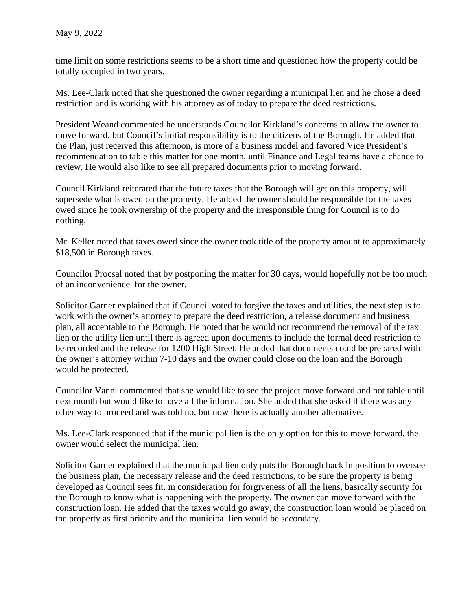time limit on some restrictions seems to be a short time and questioned how the property could be totally occupied in two years.

Ms. Lee-Clark noted that she questioned the owner regarding a municipal lien and he chose a deed restriction and is working with his attorney as of today to prepare the deed restrictions.

President Weand commented he understands Councilor Kirkland's concerns to allow the owner to move forward, but Council's initial responsibility is to the citizens of the Borough. He added that the Plan, just received this afternoon, is more of a business model and favored Vice President's recommendation to table this matter for one month, until Finance and Legal teams have a chance to review. He would also like to see all prepared documents prior to moving forward.

Council Kirkland reiterated that the future taxes that the Borough will get on this property, will supersede what is owed on the property. He added the owner should be responsible for the taxes owed since he took ownership of the property and the irresponsible thing for Council is to do nothing.

Mr. Keller noted that taxes owed since the owner took title of the property amount to approximately \$18,500 in Borough taxes.

Councilor Procsal noted that by postponing the matter for 30 days, would hopefully not be too much of an inconvenience for the owner.

Solicitor Garner explained that if Council voted to forgive the taxes and utilities, the next step is to work with the owner's attorney to prepare the deed restriction, a release document and business plan, all acceptable to the Borough. He noted that he would not recommend the removal of the tax lien or the utility lien until there is agreed upon documents to include the formal deed restriction to be recorded and the release for 1200 High Street. He added that documents could be prepared with the owner's attorney within 7-10 days and the owner could close on the loan and the Borough would be protected.

Councilor Vanni commented that she would like to see the project move forward and not table until next month but would like to have all the information. She added that she asked if there was any other way to proceed and was told no, but now there is actually another alternative.

Ms. Lee-Clark responded that if the municipal lien is the only option for this to move forward, the owner would select the municipal lien.

Solicitor Garner explained that the municipal lien only puts the Borough back in position to oversee the business plan, the necessary release and the deed restrictions, to be sure the property is being developed as Council sees fit, in consideration for forgiveness of all the liens, basically security for the Borough to know what is happening with the property. The owner can move forward with the construction loan. He added that the taxes would go away, the construction loan would be placed on the property as first priority and the municipal lien would be secondary.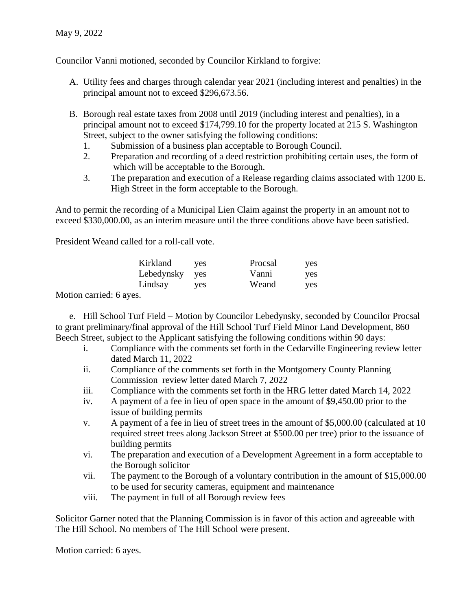Councilor Vanni motioned, seconded by Councilor Kirkland to forgive:

- A. Utility fees and charges through calendar year 2021 (including interest and penalties) in the principal amount not to exceed \$296,673.56.
- B. Borough real estate taxes from 2008 until 2019 (including interest and penalties), in a principal amount not to exceed \$174,799.10 for the property located at 215 S. Washington Street, subject to the owner satisfying the following conditions:
	- 1. Submission of a business plan acceptable to Borough Council.
	- 2. Preparation and recording of a deed restriction prohibiting certain uses, the form of which will be acceptable to the Borough.
	- 3. The preparation and execution of a Release regarding claims associated with 1200 E. High Street in the form acceptable to the Borough.

And to permit the recording of a Municipal Lien Claim against the property in an amount not to exceed \$330,000.00, as an interim measure until the three conditions above have been satisfied.

President Weand called for a roll-call vote.

| Kirkland   | yes        | Procsal | yes |
|------------|------------|---------|-----|
| Lebedynsky | yes        | Vanni   | yes |
| Lindsay    | <b>ves</b> | Weand   | yes |

Motion carried: 6 ayes.

e. Hill School Turf Field – Motion by Councilor Lebedynsky, seconded by Councilor Procsal to grant preliminary/final approval of the Hill School Turf Field Minor Land Development, 860 Beech Street, subject to the Applicant satisfying the following conditions within 90 days:

- i. Compliance with the comments set forth in the Cedarville Engineering review letter dated March 11, 2022
- ii. Compliance of the comments set forth in the Montgomery County Planning Commission review letter dated March 7, 2022
- iii. Compliance with the comments set forth in the HRG letter dated March 14, 2022
- iv. A payment of a fee in lieu of open space in the amount of \$9,450.00 prior to the issue of building permits
- v. A payment of a fee in lieu of street trees in the amount of \$5,000.00 (calculated at 10 required street trees along Jackson Street at \$500.00 per tree) prior to the issuance of building permits
- vi. The preparation and execution of a Development Agreement in a form acceptable to the Borough solicitor
- vii. The payment to the Borough of a voluntary contribution in the amount of \$15,000.00 to be used for security cameras, equipment and maintenance
- viii. The payment in full of all Borough review fees

Solicitor Garner noted that the Planning Commission is in favor of this action and agreeable with The Hill School. No members of The Hill School were present.

Motion carried: 6 ayes.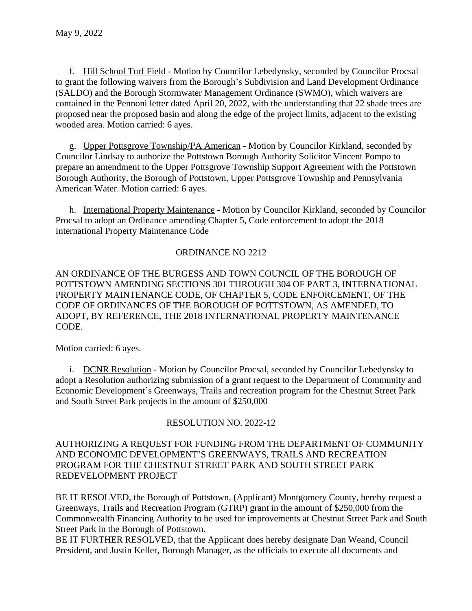f. Hill School Turf Field - Motion by Councilor Lebedynsky, seconded by Councilor Procsal to grant the following waivers from the Borough's Subdivision and Land Development Ordinance (SALDO) and the Borough Stormwater Management Ordinance (SWMO), which waivers are contained in the Pennoni letter dated April 20, 2022, with the understanding that 22 shade trees are proposed near the proposed basin and along the edge of the project limits, adjacent to the existing wooded area. Motion carried: 6 ayes.

g. Upper Pottsgrove Township/PA American - Motion by Councilor Kirkland, seconded by Councilor Lindsay to authorize the Pottstown Borough Authority Solicitor Vincent Pompo to prepare an amendment to the Upper Pottsgrove Township Support Agreement with the Pottstown Borough Authority, the Borough of Pottstown, Upper Pottsgrove Township and Pennsylvania American Water. Motion carried: 6 ayes.

h. International Property Maintenance - Motion by Councilor Kirkland, seconded by Councilor Procsal to adopt an Ordinance amending Chapter 5, Code enforcement to adopt the 2018 International Property Maintenance Code

# ORDINANCE NO 2212

AN ORDINANCE OF THE BURGESS AND TOWN COUNCIL OF THE BOROUGH OF POTTSTOWN AMENDING SECTIONS 301 THROUGH 304 OF PART 3, INTERNATIONAL PROPERTY MAINTENANCE CODE, OF CHAPTER 5, CODE ENFORCEMENT, OF THE CODE OF ORDINANCES OF THE BOROUGH OF POTTSTOWN, AS AMENDED, TO ADOPT, BY REFERENCE, THE 2018 INTERNATIONAL PROPERTY MAINTENANCE CODE.

Motion carried: 6 ayes.

i. DCNR Resolution - Motion by Councilor Procsal, seconded by Councilor Lebedynsky to adopt a Resolution authorizing submission of a grant request to the Department of Community and Economic Development's Greenways, Trails and recreation program for the Chestnut Street Park and South Street Park projects in the amount of \$250,000

## RESOLUTION NO. 2022-12

#### AUTHORIZING A REQUEST FOR FUNDING FROM THE DEPARTMENT OF COMMUNITY AND ECONOMIC DEVELOPMENT'S GREENWAYS, TRAILS AND RECREATION PROGRAM FOR THE CHESTNUT STREET PARK AND SOUTH STREET PARK REDEVELOPMENT PROJECT

BE IT RESOLVED, the Borough of Pottstown, (Applicant) Montgomery County, hereby request a Greenways, Trails and Recreation Program (GTRP) grant in the amount of \$250,000 from the Commonwealth Financing Authority to be used for improvements at Chestnut Street Park and South Street Park in the Borough of Pottstown.

BE IT FURTHER RESOLVED, that the Applicant does hereby designate Dan Weand, Council President, and Justin Keller, Borough Manager, as the officials to execute all documents and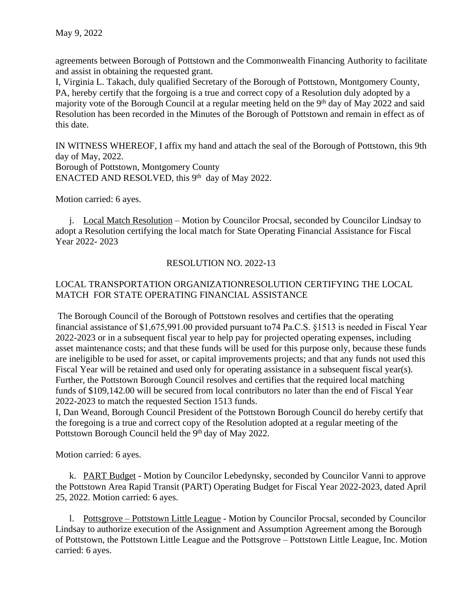agreements between Borough of Pottstown and the Commonwealth Financing Authority to facilitate and assist in obtaining the requested grant.

I, Virginia L. Takach, duly qualified Secretary of the Borough of Pottstown, Montgomery County, PA, hereby certify that the forgoing is a true and correct copy of a Resolution duly adopted by a majority vote of the Borough Council at a regular meeting held on the 9<sup>th</sup> day of May 2022 and said Resolution has been recorded in the Minutes of the Borough of Pottstown and remain in effect as of this date.

IN WITNESS WHEREOF, I affix my hand and attach the seal of the Borough of Pottstown, this 9th day of May, 2022. Borough of Pottstown, Montgomery County ENACTED AND RESOLVED, this 9<sup>th</sup> day of May 2022.

Motion carried: 6 ayes.

j. Local Match Resolution – Motion by Councilor Procsal, seconded by Councilor Lindsay to adopt a Resolution certifying the local match for State Operating Financial Assistance for Fiscal Year 2022- 2023

## RESOLUTION NO. 2022-13

# LOCAL TRANSPORTATION ORGANIZATIONRESOLUTION CERTIFYING THE LOCAL MATCH FOR STATE OPERATING FINANCIAL ASSISTANCE

The Borough Council of the Borough of Pottstown resolves and certifies that the operating financial assistance of \$1,675,991.00 provided pursuant to74 Pa.C.S. §1513 is needed in Fiscal Year 2022-2023 or in a subsequent fiscal year to help pay for projected operating expenses, including asset maintenance costs; and that these funds will be used for this purpose only, because these funds are ineligible to be used for asset, or capital improvements projects; and that any funds not used this Fiscal Year will be retained and used only for operating assistance in a subsequent fiscal year(s). Further, the Pottstown Borough Council resolves and certifies that the required local matching funds of \$109,142.00 will be secured from local contributors no later than the end of Fiscal Year 2022-2023 to match the requested Section 1513 funds.

I, Dan Weand, Borough Council President of the Pottstown Borough Council do hereby certify that the foregoing is a true and correct copy of the Resolution adopted at a regular meeting of the Pottstown Borough Council held the 9th day of May 2022.

Motion carried: 6 ayes.

k. PART Budget - Motion by Councilor Lebedynsky, seconded by Councilor Vanni to approve the Pottstown Area Rapid Transit (PART) Operating Budget for Fiscal Year 2022-2023, dated April 25, 2022. Motion carried: 6 ayes.

l. Pottsgrove – Pottstown Little League - Motion by Councilor Procsal, seconded by Councilor Lindsay to authorize execution of the Assignment and Assumption Agreement among the Borough of Pottstown, the Pottstown Little League and the Pottsgrove – Pottstown Little League, Inc. Motion carried: 6 ayes.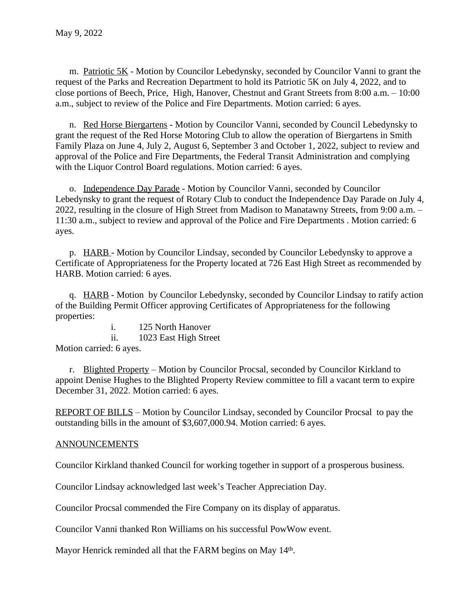m. Patriotic 5K - Motion by Councilor Lebedynsky, seconded by Councilor Vanni to grant the request of the Parks and Recreation Department to hold its Patriotic 5K on July 4, 2022, and to close portions of Beech, Price, High, Hanover, Chestnut and Grant Streets from 8:00 a.m. – 10:00 a.m., subject to review of the Police and Fire Departments. Motion carried: 6 ayes.

n. Red Horse Biergartens - Motion by Councilor Vanni, seconded by Council Lebedynsky to grant the request of the Red Horse Motoring Club to allow the operation of Biergartens in Smith Family Plaza on June 4, July 2, August 6, September 3 and October 1, 2022, subject to review and approval of the Police and Fire Departments, the Federal Transit Administration and complying with the Liquor Control Board regulations. Motion carried: 6 ayes.

o. Independence Day Parade - Motion by Councilor Vanni, seconded by Councilor Lebedynsky to grant the request of Rotary Club to conduct the Independence Day Parade on July 4, 2022, resulting in the closure of High Street from Madison to Manatawny Streets, from 9:00 a.m. – 11:30 a.m., subject to review and approval of the Police and Fire Departments . Motion carried: 6 ayes.

p. HARB - Motion by Councilor Lindsay, seconded by Councilor Lebedynsky to approve a Certificate of Appropriateness for the Property located at 726 East High Street as recommended by HARB. Motion carried: 6 ayes.

q. HARB - Motion by Councilor Lebedynsky, seconded by Councilor Lindsay to ratify action of the Building Permit Officer approving Certificates of Appropriateness for the following properties:

i. 125 North Hanover ii. 1023 East High Street Motion carried: 6 ayes.

r. Blighted Property – Motion by Councilor Procsal, seconded by Councilor Kirkland to appoint Denise Hughes to the Blighted Property Review committee to fill a vacant term to expire December 31, 2022. Motion carried: 6 ayes.

REPORT OF BILLS – Motion by Councilor Lindsay, seconded by Councilor Procsal to pay the outstanding bills in the amount of \$3,607,000.94. Motion carried: 6 ayes.

## **ANNOUNCEMENTS**

Councilor Kirkland thanked Council for working together in support of a prosperous business.

Councilor Lindsay acknowledged last week's Teacher Appreciation Day.

Councilor Procsal commended the Fire Company on its display of apparatus.

Councilor Vanni thanked Ron Williams on his successful PowWow event.

Mayor Henrick reminded all that the FARM begins on May 14<sup>th</sup>.